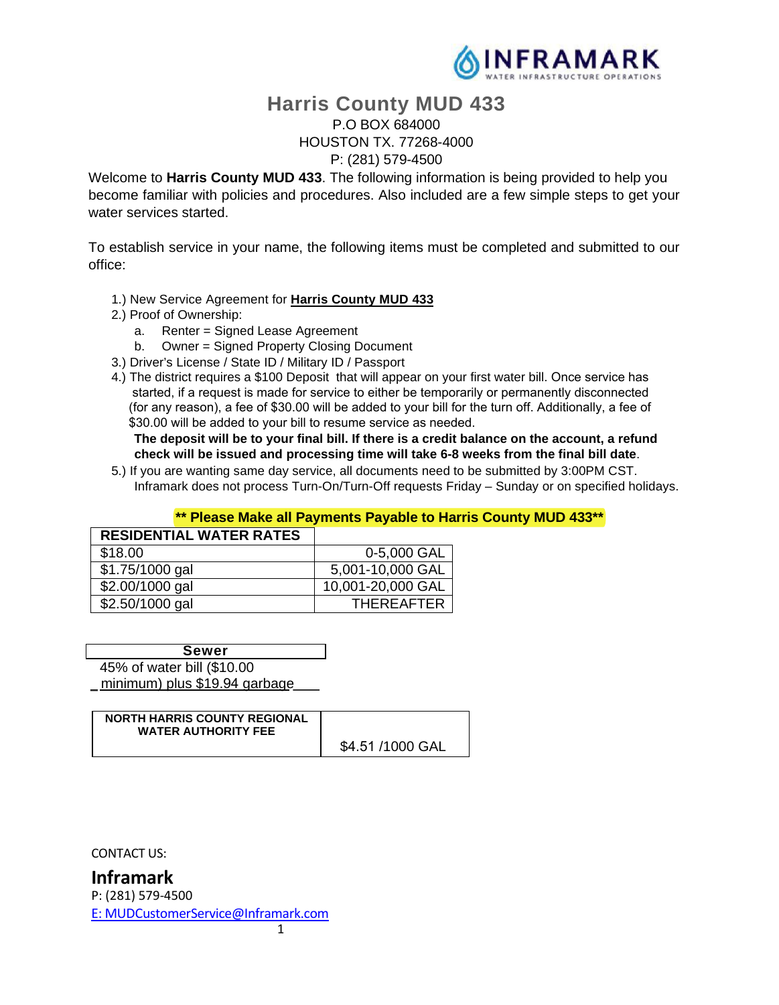

# **Harris County MUD 433**

#### P.O BOX 684000 HOUSTON TX. 77268-4000 P: (281) 579-4500

Welcome to **Harris County MUD 433**. The following information is being provided to help you become familiar with policies and procedures. Also included are a few simple steps to get your water services started.

To establish service in your name, the following items must be completed and submitted to our office:

- 1.) New Service Agreement for **Harris County MUD 433**
- 2.) Proof of Ownership:
	- a. Renter = Signed Lease Agreement
	- b. Owner = Signed Property Closing Document
- 3.) Driver's License / State ID / Military ID / Passport
- 4.) The district requires a \$100 Deposit that will appear on your first water bill. Once service has started, if a request is made for service to either be temporarily or permanently disconnected (for any reason), a fee of \$30.00 will be added to your bill for the turn off. Additionally, a fee of \$30.00 will be added to your bill to resume service as needed.

 **The deposit will be to your final bill. If there is a credit balance on the account, a refund check will be issued and processing time will take 6-8 weeks from the final bill date**.

5.) If you are wanting same day service, all documents need to be submitted by 3:00PM CST. Inframark does not process Turn-On/Turn-Off requests Friday – Sunday or on specified holidays.

#### **\*\* Please Make all Payments Payable to Harris County MUD 433\*\***

| <b>RESIDENTIAL WATER RATES</b> |                   |
|--------------------------------|-------------------|
| \$18.00                        | 0-5,000 GAL       |
| \$1.75/1000 gal                | 5,001-10,000 GAL  |
| \$2.00/1000 gal                | 10,001-20,000 GAL |
| \$2.50/1000 gal                | <b>THEREAFTER</b> |

45% of water bill (\$10.00 minimum) plus \$19.94 garbage **Sewer** 

| <b>NORTH HARRIS COUNTY REGIONAL</b><br><b>WATER AUTHORITY FEE</b> |                  |
|-------------------------------------------------------------------|------------------|
|                                                                   | \$4.51 /1000 GAL |

CONTACT US:

**Inframark**  P: (281) 579-4500 E: MUDCustomerService@Inframark.com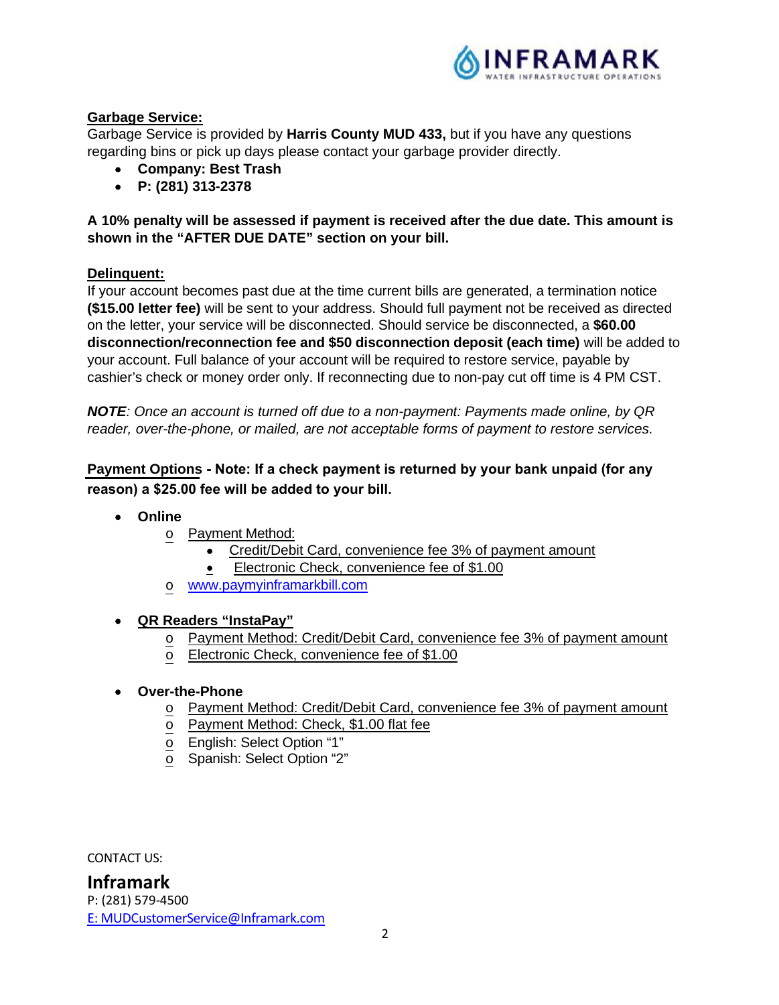

### **Garbage Service:**

Garbage Service is provided by **Harris County MUD 433,** but if you have any questions regarding bins or pick up days please contact your garbage provider directly.

- **Company: Best Trash**
- **P: (281) 313-2378**

**A 10% penalty will be assessed if payment is received after the due date. This amount is shown in the "AFTER DUE DATE" section on your bill.** 

#### **Delinquent:**

If your account becomes past due at the time current bills are generated, a termination notice **(\$15.00 letter fee)** will be sent to your address. Should full payment not be received as directed on the letter, your service will be disconnected. Should service be disconnected, a **\$60.00 disconnection/reconnection fee and \$50 disconnection deposit (each time)** will be added to your account. Full balance of your account will be required to restore service, payable by cashier's check or money order only. If reconnecting due to non-pay cut off time is 4 PM CST.

*NOTE: Once an account is turned off due to a non-payment: Payments made online, by QR reader, over-the-phone, or mailed, are not acceptable forms of payment to restore services.*

**Payment Options Note: If a check payment is returned by your bank unpaid (for any reason) a \$25.00 fee will be added to your bill.**

- **Online**
	- o Payment Method:
		- Credit/Debit Card, convenience fee 3% of payment amount
		- **Electronic Check, convenience fee of \$1.00**
	- o www.paymyinframarkbill.com

#### **QR Readers "InstaPay"**

- Payment Method: Credit/Debit Card, convenience fee 3% of payment amount
- o Electronic Check, convenience fee of \$1.00

#### **Over-the-Phone**

- o Payment Method: Credit/Debit Card, convenience fee 3% of payment amount
- o Payment Method: Check, \$1.00 flat fee
- o English: Select Option "1"
- o Spanish: Select Option "2"

CONTACT US: